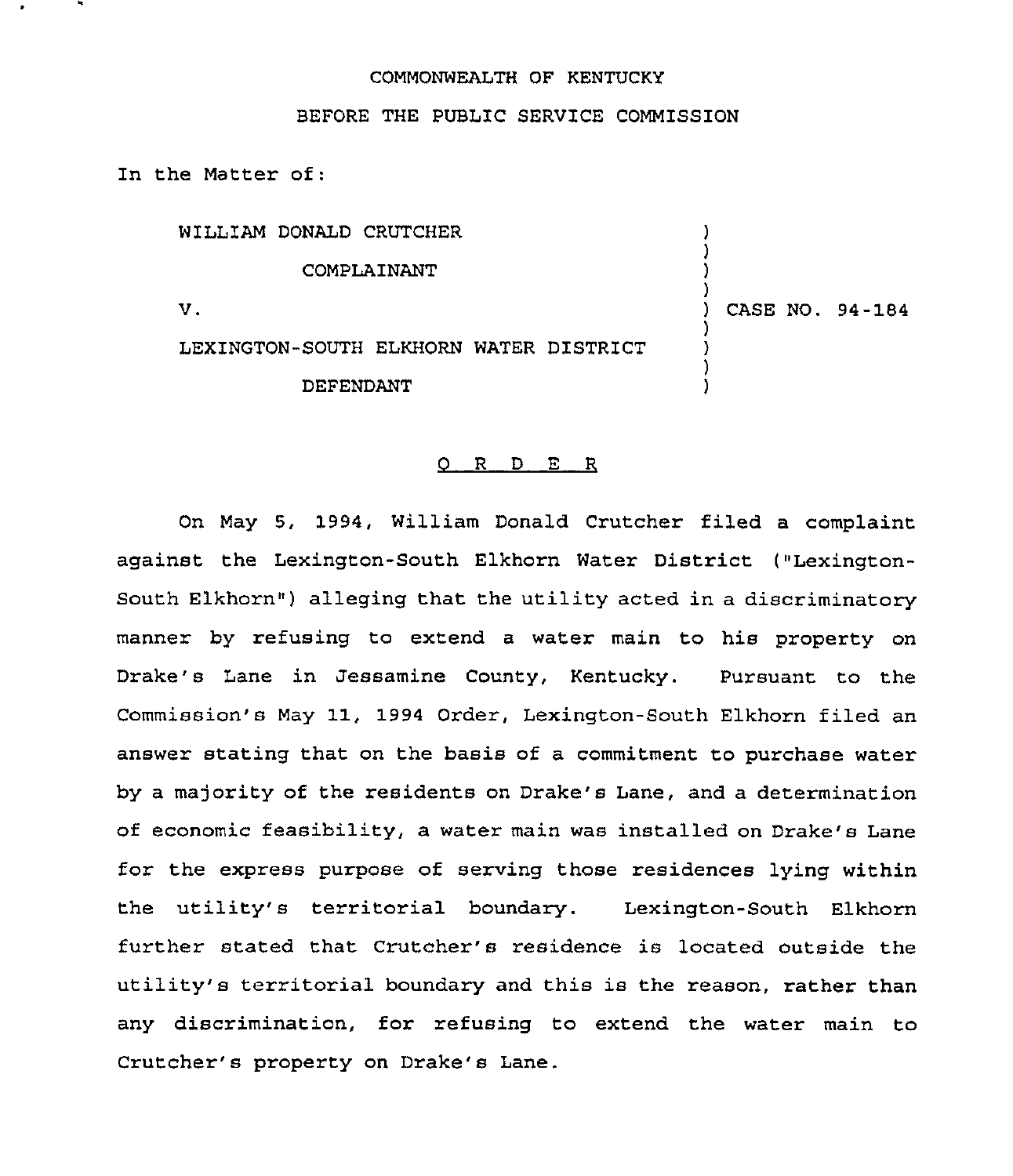## COMMONWEALTH OF KENTUCKY

BEFORE THE PUBLIC SERVICE COMMISSION

In the Matter of:

| WILLIAM DONALD CRUTCHER                |                 |
|----------------------------------------|-----------------|
| COMPLAINANT                            |                 |
| v.                                     | CASE NO. 94-184 |
| LEXINGTON-SOUTH ELKHORN WATER DISTRICT |                 |
| DEFENDANT                              |                 |

## $Q$  R D E R

On May 5, 1994, William Donald Crutcher filed a complaint against the Lexington-South Elkhorn Water District ("Lexington-South Elkhorn") alleging that the utility acted in a discriminatory manner by refusing to extend a water main to his property on Drake's Lane in Jessamine County, Kentucky. Pursuant to the Commission's May 11, 1994 Order, Lexington-South Elkhorn filed an answer stating that on the basis of a commitment to purchase water by a majority of the residents on Drake's Lane, and a determination of economic feasibility, a water main was installed on Drake's Lane for the express purpose of serving those residences lying within the utility's territorial boundary. Lexington-South Elkhorn further stated that Crutcher's residence is located outside the utility's territorial boundary and this is the reason, rather than any discrimination, for refusing to extend the water main to Crutcher's property on Drake's Lane.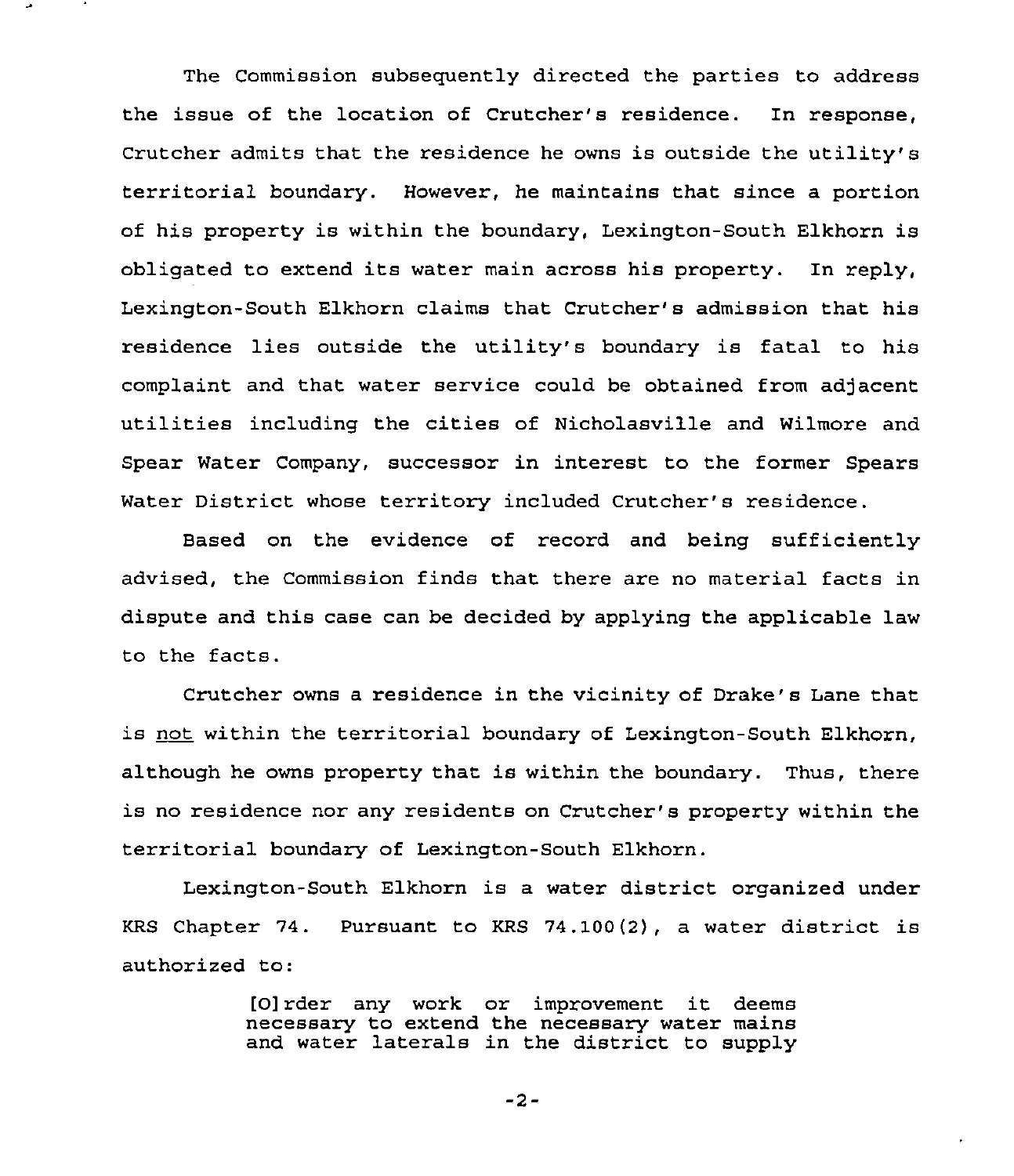The Commission subsequently directed the parties to address the issue of the location of Crutcher's residence. In response, Crutcher admits that the residence he owns is outside the utility's territorial boundary. However, he maintains that since a portion of his property is within the boundary, Lexington-South Elkhorn is obligated to extend its water main across his property. In reply, Lexington-South Elkhorn claims that Crutcher's admission that his residence lies outside the utility's boundary is fatal to his complaint and that water service could be obtained from adjacent utilities including the cities of Nicholasville and Wilmore and Spear Water Company, successor in interest to the former Spears Water District whose territory included Crutcher's residence.

Based on the evidence of record and being sufficiently advised, the Commission finds that there are no material facts in dispute and this case can be decided by applying the applicable law to the facts.

Crutcher owns a residence in the vicinity of Drake's Lane that is not within the territorial boundary of Lexington-South Elkhorn, although he owns property that is within the boundary. Thus, there is no residence nor any residents on Crutcher's property within the territorial boundary of Lexington-South Elkhorn.

Lexington-South Elkhorn is a water district organized under KRS Chapter 74. Pursuant to KRS 74.100(2), a water district is authorized to:

> [0]rder any work or improvement it deems necessary to extend the necessary water mains and water laterals in the district to supply

> > $-2-$